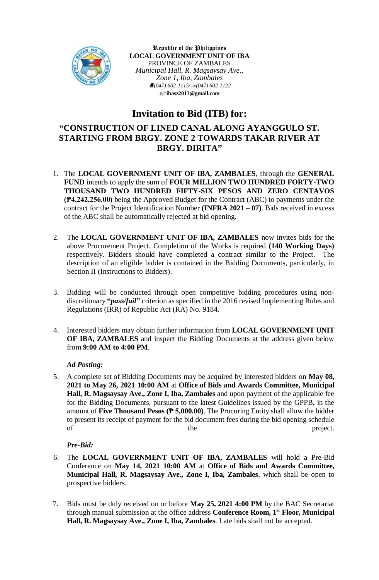

Republic of the Philippines **LOCAL GOVERNMENT UNIT OF IBA** PROVINCE OF ZAMBALES *Municipal Hall, R. Magsaysay Ave., Zone 1, Iba, Zambales (047) 602-1115/(047) 602-1122* **[ibasz2013@gmail.com](mailto:ibasz2013@gmail.com)**

# **Invitation to Bid (ITB) for:**

## **"CONSTRUCTION OF LINED CANAL ALONG AYANGGULO ST. STARTING FROM BRGY. ZONE 2 TOWARDS TAKAR RIVER AT BRGY. DIRITA"**

- 1. The **LOCAL GOVERNMENT UNIT OF IBA, ZAMBALES**, through the **GENERAL FUND** intends to apply the sum of **FOUR MILLION TWO HUNDRED FORTY-TWO THOUSAND TWO HUNDRED FIFTY-SIX PESOS AND ZERO CENTAVOS (₱4,242,256.00)** being the Approved Budget for the Contract (ABC) to payments under the contract for the Project Identification Number **(INFRA 2021 – 07)**. Bids received in excess of the ABC shall be automatically rejected at bid opening.
- 2. The **LOCAL GOVERNMENT UNIT OF IBA, ZAMBALES** now invites bids for the above Procurement Project. Completion of the Works is required **(140 Working Days)** respectively. Bidders should have completed a contract similar to the Project. The description of an eligible bidder is contained in the Bidding Documents, particularly, in Section II (Instructions to Bidders).
- 3. Bidding will be conducted through open competitive bidding procedures using nondiscretionary **"***pass/fail***"** criterion as specified in the 2016 revised Implementing Rules and Regulations (IRR) of Republic Act (RA) No. 9184.
- 4. Interested bidders may obtain further information from **LOCAL GOVERNMENT UNIT OF IBA, ZAMBALES** and inspect the Bidding Documents at the address given below from **9:00 AM to 4:00 PM**.

## *Ad Posting:*

5. A complete set of Bidding Documents may be acquired by interested bidders on **May 08, 2021 to May 26, 2021 10:00 AM** at **Office of Bids and Awards Committee, Municipal Hall, R. Magsaysay Ave., Zone I, Iba, Zambales** and upon payment of the applicable fee for the Bidding Documents, pursuant to the latest Guidelines issued by the GPPB, in the amount of **Five Thousand Pesos (₱ 5,000.00)**. The Procuring Entity shall allow the bidder to present its receipt of payment for the bid document fees during the bid opening schedule of the project.

#### *Pre-Bid:*

- 6. The **LOCAL GOVERNMENT UNIT OF IBA, ZAMBALES** will hold a Pre-Bid Conference on **May 14, 2021 10:00 AM** at **Office of Bids and Awards Committee, Municipal Hall, R. Magsaysay Ave., Zone I, Iba, Zambales***,* which shall be open to prospective bidders.
- 7. Bids must be duly received on or before **May 25, 2021 4:00 PM** by the BAC Secretariat through manual submission at the office address **Conference Room, 1st Floor, Municipal Hall, R. Magsaysay Ave., Zone I, Iba, Zambales***.* Late bids shall not be accepted.